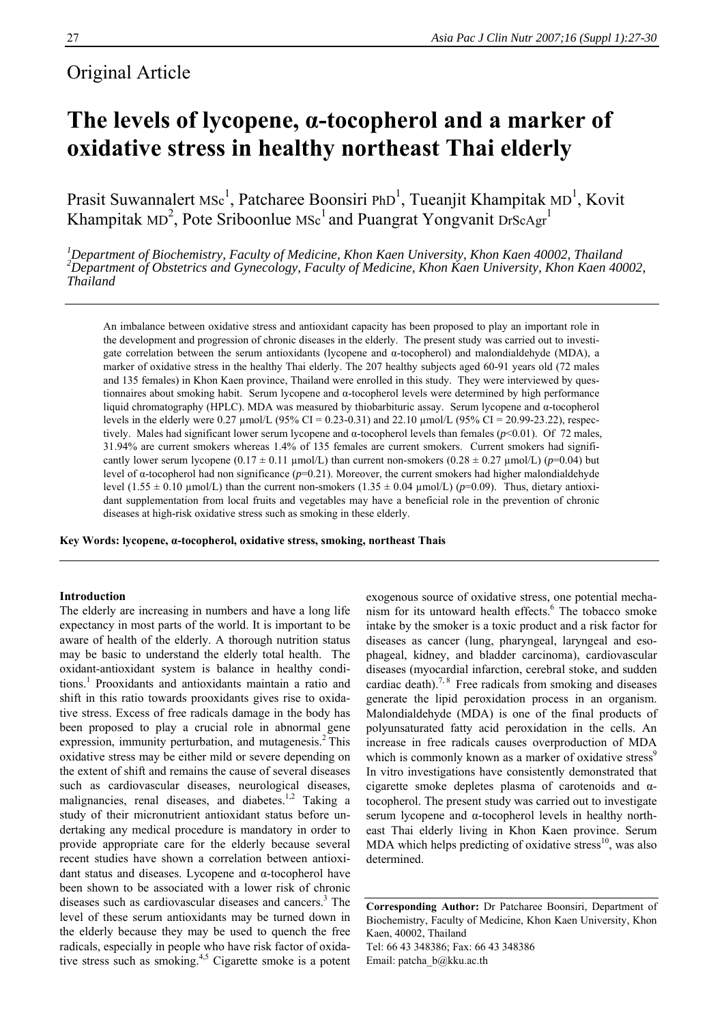# Original Article

# **The levels of lycopene, α-tocopherol and a marker of oxidative stress in healthy northeast Thai elderly**

Prasit Suwannalert MSc<sup>1</sup>, Patcharee Boonsiri PhD<sup>1</sup>, Tueanjit Khampitak MD<sup>1</sup>, Kovit Khampitak MD<sup>2</sup>, Pote Sriboonlue MSc<sup>1</sup> and Puangrat Yongvanit DrScAgr<sup>1</sup>

<sup>1</sup>Department of Biochemistry, Faculty of Medicine, Khon Kaen University, Khon Kaen 40002, Thailand<br><sup>2</sup>Department of Obstetrics and Gynecology, Faculty of Medicine, Khon Kaen University, Khon Kaen 40002, *Thailand* 

An imbalance between oxidative stress and antioxidant capacity has been proposed to play an important role in the development and progression of chronic diseases in the elderly. The present study was carried out to investigate correlation between the serum antioxidants (lycopene and α-tocopherol) and malondialdehyde (MDA), a marker of oxidative stress in the healthy Thai elderly. The 207 healthy subjects aged 60-91 years old (72 males and 135 females) in Khon Kaen province, Thailand were enrolled in this study. They were interviewed by questionnaires about smoking habit. Serum lycopene and α-tocopherol levels were determined by high performance liquid chromatography (HPLC). MDA was measured by thiobarbituric assay. Serum lycopene and α-tocopherol levels in the elderly were 0.27  $\mu$ mol/L (95% CI = 0.23-0.31) and 22.10  $\mu$ mol/L (95% CI = 20.99-23.22), respectively. Males had significant lower serum lycopene and α-tocopherol levels than females (*p*<0.01). Of 72 males, 31.94% are current smokers whereas 1.4% of 135 females are current smokers. Current smokers had significantly lower serum lycopene (0.17  $\pm$  0.11 µmol/L) than current non-smokers (0.28  $\pm$  0.27 µmol/L) (*p*=0.04) but level of α-tocopherol had non significance (*p*=0.21). Moreover, the current smokers had higher malondialdehyde level  $(1.55 \pm 0.10 \text{ µmol/L})$  than the current non-smokers  $(1.35 \pm 0.04 \text{ µmol/L})$  ( $p=0.09$ ). Thus, dietary antioxidant supplementation from local fruits and vegetables may have a beneficial role in the prevention of chronic diseases at high-risk oxidative stress such as smoking in these elderly.

**Key Words: lycopene, α-tocopherol, oxidative stress, smoking, northeast Thais** 

# **Introduction**

The elderly are increasing in numbers and have a long life expectancy in most parts of the world. It is important to be aware of health of the elderly. A thorough nutrition status may be basic to understand the elderly total health. The oxidant-antioxidant system is balance in healthy conditions.<sup>1</sup> Prooxidants and antioxidants maintain a ratio and shift in this ratio towards prooxidants gives rise to oxidative stress. Excess of free radicals damage in the body has been proposed to play a crucial role in abnormal gene expression, immunity perturbation, and mutagenesis. $<sup>2</sup>$  This</sup> oxidative stress may be either mild or severe depending on the extent of shift and remains the cause of several diseases such as cardiovascular diseases, neurological diseases, malignancies, renal diseases, and diabetes. $1,2$  Taking a study of their micronutrient antioxidant status before undertaking any medical procedure is mandatory in order to provide appropriate care for the elderly because several recent studies have shown a correlation between antioxidant status and diseases. Lycopene and α-tocopherol have been shown to be associated with a lower risk of chronic diseases such as cardiovascular diseases and cancers.<sup>3</sup> The level of these serum antioxidants may be turned down in the elderly because they may be used to quench the free radicals, especially in people who have risk factor of oxidative stress such as smoking.<sup>4,5</sup> Cigarette smoke is a potent

exogenous source of oxidative stress, one potential mechanism for its untoward health effects.<sup>6</sup> The tobacco smoke intake by the smoker is a toxic product and a risk factor for diseases as cancer (lung, pharyngeal, laryngeal and esophageal, kidney, and bladder carcinoma), cardiovascular diseases (myocardial infarction, cerebral stoke, and sudden cardiac death).<sup>7, 8</sup> Free radicals from smoking and diseases generate the lipid peroxidation process in an organism. Malondialdehyde (MDA) is one of the final products of polyunsaturated fatty acid peroxidation in the cells. An increase in free radicals causes overproduction of MDA which is commonly known as a marker of oxidative stress<sup>9</sup> In vitro investigations have consistently demonstrated that cigarette smoke depletes plasma of carotenoids and αtocopherol. The present study was carried out to investigate serum lycopene and α-tocopherol levels in healthy northeast Thai elderly living in Khon Kaen province. Serum MDA which helps predicting of oxidative stress<sup>10</sup>, was also determined.

**Corresponding Author:** Dr Patcharee Boonsiri, Department of Biochemistry, Faculty of Medicine, Khon Kaen University, Khon Kaen, 40002, Thailand Tel: 66 43 348386; Fax: 66 43 348386 Email: patcha\_b@kku.ac.th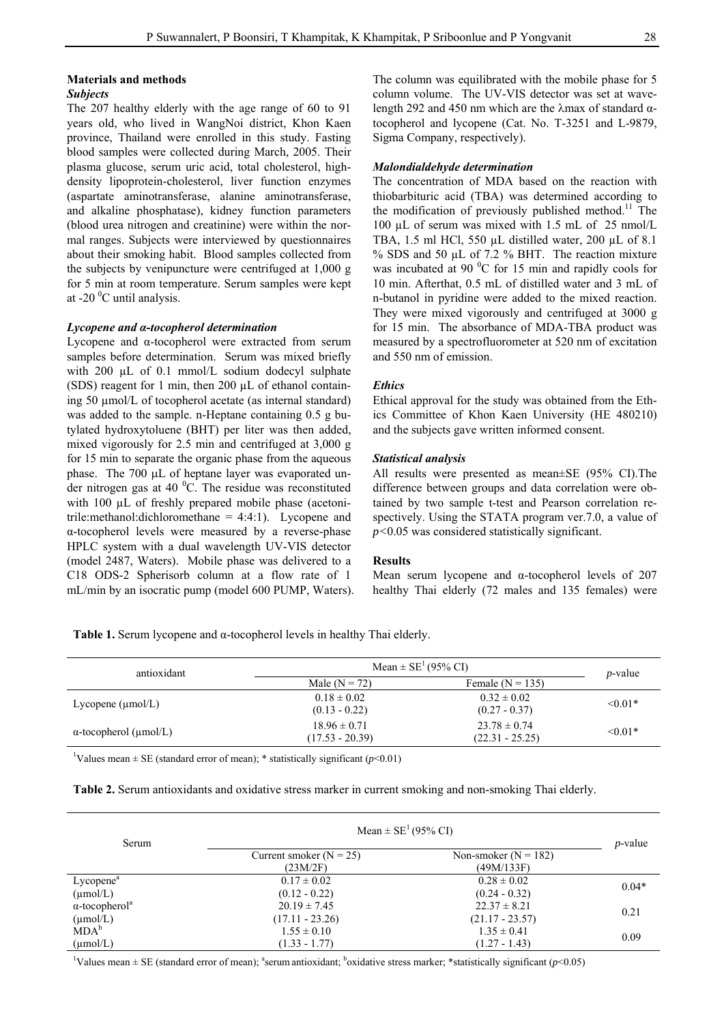# **Materials and methods**

#### *Subjects*

The 207 healthy elderly with the age range of 60 to 91 years old, who lived in WangNoi district, Khon Kaen province, Thailand were enrolled in this study. Fasting blood samples were collected during March, 2005. Their plasma glucose, serum uric acid, total cholesterol, highdensity lipoprotein-cholesterol, liver function enzymes (aspartate aminotransferase, alanine aminotransferase, and alkaline phosphatase), kidney function parameters (blood urea nitrogen and creatinine) were within the normal ranges. Subjects were interviewed by questionnaires about their smoking habit. Blood samples collected from the subjects by venipuncture were centrifuged at 1,000 g for 5 min at room temperature. Serum samples were kept at -20 $\mathrm{^0C}$  until analysis.

#### *Lycopene and α-tocopherol determination*

Lycopene and α-tocopherol were extracted from serum samples before determination. Serum was mixed briefly with 200 µL of 0.1 mmol/L sodium dodecyl sulphate (SDS) reagent for 1 min, then 200  $\mu$ L of ethanol containing 50 µmol/L of tocopherol acetate (as internal standard) was added to the sample. n-Heptane containing 0.5 g butylated hydroxytoluene (BHT) per liter was then added, mixed vigorously for 2.5 min and centrifuged at 3,000 g for 15 min to separate the organic phase from the aqueous phase. The 700 μL of heptane layer was evaporated under nitrogen gas at 40  $^0$ C. The residue was reconstituted with 100  $\mu$ L of freshly prepared mobile phase (acetonitrile:methanol:dichloromethane = 4:4:1). Lycopene and α-tocopherol levels were measured by a reverse-phase HPLC system with a dual wavelength UV-VIS detector (model 2487, Waters). Mobile phase was delivered to a C18 ODS-2 Spherisorb column at a flow rate of 1 mL/min by an isocratic pump (model 600 PUMP, Waters). The column was equilibrated with the mobile phase for 5 column volume. The UV-VIS detector was set at wavelength 292 and 450 nm which are the λmax of standard αtocopherol and lycopene (Cat. No. T-3251 and L-9879, Sigma Company, respectively).

# *Malondialdehyde determination*

The concentration of MDA based on the reaction with thiobarbituric acid (TBA) was determined according to the modification of previously published method.<sup>11</sup> The 100 µL of serum was mixed with 1.5 mL of 25 nmol/L TBA, 1.5 ml HCl, 550 µL distilled water, 200 µL of 8.1  $%$  SDS and 50 µL of 7.2  $%$  BHT. The reaction mixture was incubated at 90 $\mathrm{^{0}C}$  for 15 min and rapidly cools for 10 min. Afterthat, 0.5 mL of distilled water and 3 mL of n-butanol in pyridine were added to the mixed reaction. They were mixed vigorously and centrifuged at 3000 g for 15 min. The absorbance of MDA-TBA product was measured by a spectrofluorometer at 520 nm of excitation and 550 nm of emission.

# *Ethics*

Ethical approval for the study was obtained from the Ethics Committee of Khon Kaen University (HE 480210) and the subjects gave written informed consent.

# *Statistical analysis*

All results were presented as mean±SE (95% CI).The difference between groups and data correlation were obtained by two sample t-test and Pearson correlation respectively. Using the STATA program ver.7.0, a value of *p<*0.05 was considered statistically significant.

#### **Results**

Mean serum lycopene and  $\alpha$ -tocopherol levels of 207 healthy Thai elderly (72 males and 135 females) were

**Table 1.** Serum lycopene and α-tocopherol levels in healthy Thai elderly.

| antioxidant                         | Mean $\pm$ SE <sup>1</sup> (95% CI)   | <i>p</i> -value                       |           |
|-------------------------------------|---------------------------------------|---------------------------------------|-----------|
|                                     | Male $(N = 72)$                       | Female $(N = 135)$                    |           |
| Lycopene $(\mu \text{mol/L})$       | $0.18 \pm 0.02$<br>$(0.13 - 0.22)$    | $0.32 \pm 0.02$<br>$(0.27 - 0.37)$    | $< 0.01*$ |
| $\alpha$ -tocopherol ( $\mu$ mol/L) | $18.96 \pm 0.71$<br>$(17.53 - 20.39)$ | $23.78 \pm 0.74$<br>$(22.31 - 25.25)$ | $< 0.01*$ |

<sup>1</sup>Values mean  $\pm$  SE (standard error of mean); \* statistically significant ( $p$ <0.01)

|  |  | Table 2. Serum antioxidants and oxidative stress marker in current smoking and non-smoking Thai elderly. |
|--|--|----------------------------------------------------------------------------------------------------------|
|  |  |                                                                                                          |

| Serum                             | Mean $\pm$ SE <sup>1</sup> (95% CI)     |                                      |            |  |
|-----------------------------------|-----------------------------------------|--------------------------------------|------------|--|
|                                   | Current smoker ( $N = 25$ )<br>(23M/2F) | Non-smoker $(N = 182)$<br>(49M/133F) | $p$ -value |  |
| Lycopene <sup>a</sup>             | $0.17 \pm 0.02$                         | $0.28 \pm 0.02$                      | $0.04*$    |  |
| $(\mu \text{mol}/L)$              | $(0.12 - 0.22)$                         | $(0.24 - 0.32)$                      |            |  |
| $\alpha$ -tocopherol <sup>a</sup> | $20.19 \pm 7.45$                        | $22.37 \pm 8.21$                     | 0.21       |  |
| $(\mu \text{mol/L})$              | $(17.11 - 23.26)$                       | $(21.17 - 23.57)$                    |            |  |
| MDA <sup>b</sup>                  | $1.55 \pm 0.10$                         | $1.35 \pm 0.41$                      |            |  |
| $(\mu \text{mol/L})$              | $(1.33 - 1.77)$                         | $(1.27 - 1.43)$                      | 0.09       |  |

<sup>1</sup>Values mean  $\pm$  SE (standard error of mean); <sup>a</sup>serum antioxidant; <sup>b</sup>oxidative stress marker; \*statistically significant (*p*<0.05)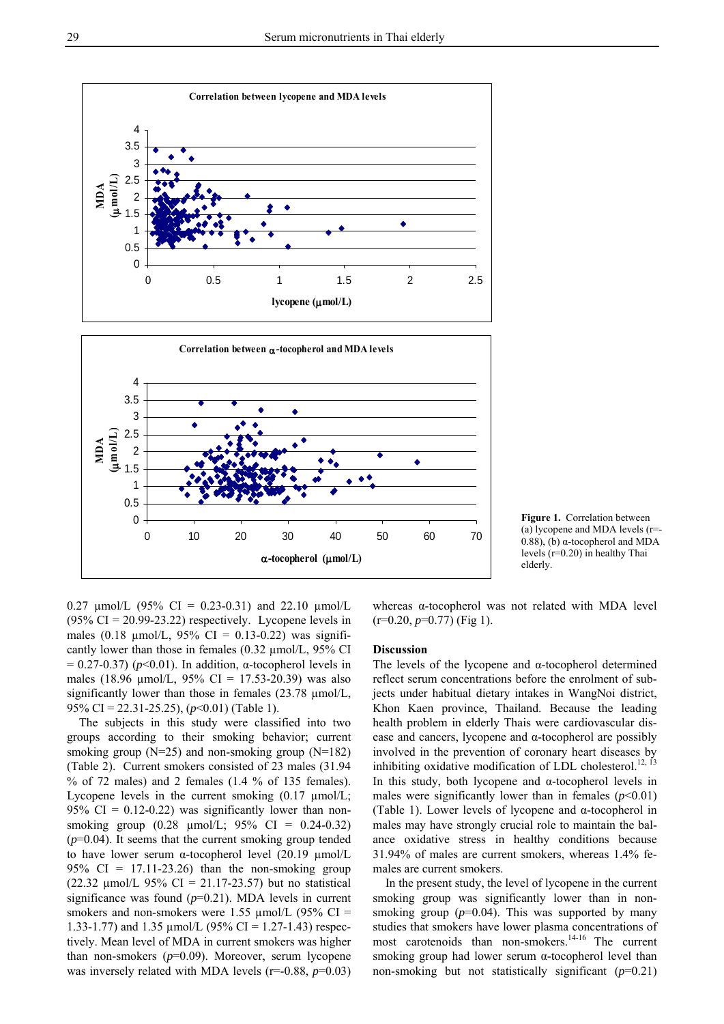



0.27  $\mu$ mol/L (95% CI = 0.23-0.31) and 22.10  $\mu$ mol/L  $(95\% \text{ CI} = 20.99 - 23.22)$  respectively. Lycopene levels in males (0.18  $\mu$ mol/L, 95% CI = 0.13-0.22) was significantly lower than those in females (0.32 µmol/L, 95% CI  $= 0.27 - 0.37$ ) ( $p < 0.01$ ). In addition,  $\alpha$ -tocopherol levels in males (18.96  $\mu$ mol/L, 95% CI = 17.53-20.39) was also significantly lower than those in females (23.78 µmol/L, 95% CI = 22.31-25.25), (*p*<0.01) (Table 1).

 The subjects in this study were classified into two groups according to their smoking behavior; current smoking group (N=25) and non-smoking group (N=182) (Table 2). Current smokers consisted of 23 males (31.94  $%$  of 72 males) and 2 females (1.4  $%$  of 135 females). Lycopene levels in the current smoking  $(0.17 \text{ µmol/L})$ ; 95% CI =  $0.12$ -0.22) was significantly lower than nonsmoking group (0.28 μmol/L; 95% CI = 0.24-0.32)  $(p=0.04)$ . It seems that the current smoking group tended to have lower serum α-tocopherol level  $(20.19 \mu mol/L)$ 95% CI =  $17.11-23.26$ ) than the non-smoking group (22.32  $\mu$ mol/L 95% CI = 21.17-23.57) but no statistical significance was found  $(p=0.21)$ . MDA levels in current smokers and non-smokers were 1.55  $\mu$ mol/L (95% CI = 1.33-1.77) and 1.35  $\mu$ mol/L (95% CI = 1.27-1.43) respectively. Mean level of MDA in current smokers was higher than non-smokers (*p*=0.09). Moreover, serum lycopene was inversely related with MDA levels (r=-0.88,  $p=0.03$ )

whereas α-tocopherol was not related with MDA level  $(r=0.20, p=0.77)$  (Fig 1).

# **Discussion**

The levels of the lycopene and α-tocopherol determined reflect serum concentrations before the enrolment of subjects under habitual dietary intakes in WangNoi district, Khon Kaen province, Thailand. Because the leading health problem in elderly Thais were cardiovascular disease and cancers, lycopene and α-tocopherol are possibly involved in the prevention of coronary heart diseases by inhibiting oxidative modification of LDL cholesterol.<sup>12, 13</sup> In this study, both lycopene and  $\alpha$ -tocopherol levels in males were significantly lower than in females  $(p<0.01)$ (Table 1). Lower levels of lycopene and α-tocopherol in males may have strongly crucial role to maintain the balance oxidative stress in healthy conditions because 31.94% of males are current smokers, whereas 1.4% females are current smokers.

 In the present study, the level of lycopene in the current smoking group was significantly lower than in nonsmoking group  $(p=0.04)$ . This was supported by many studies that smokers have lower plasma concentrations of most carotenoids than non-smokers.<sup>14-16</sup> The current smoking group had lower serum  $\alpha$ -tocopherol level than non-smoking but not statistically significant (*p*=0.21)